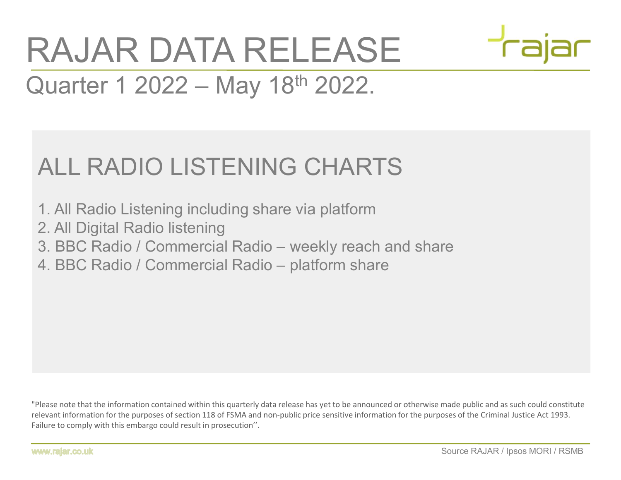## XAJAR DATA RELEASE<br>
2012 - May 18<sup>th</sup> 2022.<br>
ALL RADIO LISTENING CHARTS<br>
1. All Radio Listening including share via platform<br>
2. All Digital Radio listening<br>
3. BBC Radio / Commercial Radio – weekly reach and share<br>
4. BBC 2. Buarter 1 2022 – May 18<sup>th</sup> 2022.<br>ALL RADIO LISTENING CHARTS<br>1. All Radio Listening including share via platform<br>2. All Digital Radio listening<br>3. BBC Radio / Commercial Radio – weekly reach and share<br>4. BBC Radio / Com RAJAR DATA RELEASE RAJAR DATA RELEASE<br>Quarter 1 2022 – May 18<sup>th</sup> 2022.

## ALL RADIO LISTENING CHARTS

- 1. All Radio Listening including share via platform
- 2. All Digital Radio listening
- 
- 

Made public and as such could constitute<br>Source RAJAR / Ipsos MORI / RSMB<br>Source RAJAR / Ipsos MORI / RSMB "Please note that the information contained within this quarterly data release has yet to be announced or otherwise made public and as such could constitute relevant information for the purposes of section 118 of FSMA and non-public price sensitive information for the purposes of the Criminal Justice Act 1993. Failure to comply with this embargo could result in prosecution''.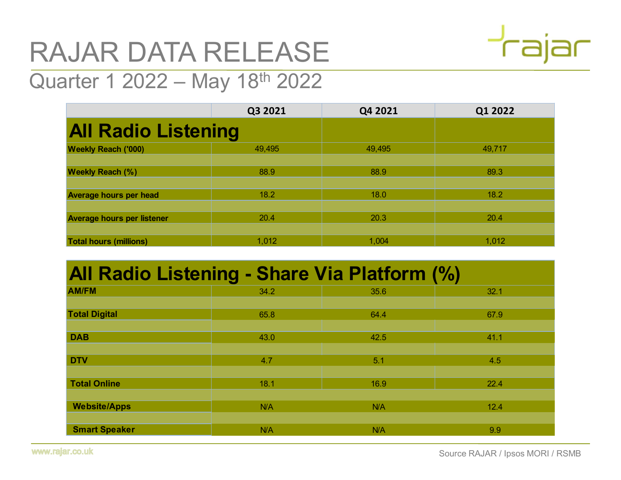## RAJAR DATA RELEASE



| RAJAR DATA RELEASE                           |         |         | $\tau$ aiar |
|----------------------------------------------|---------|---------|-------------|
| Quarter 1 2022 - May 18th 2022               |         |         |             |
|                                              | Q3 2021 | Q4 2021 | Q1 2022     |
| <b>All Radio Listening</b>                   |         |         |             |
| <b>Weekly Reach ('000)</b>                   | 49,495  | 49,495  | 49,717      |
| <b>Weekly Reach (%)</b>                      | 88.9    | 88.9    | 89.3        |
| <b>Average hours per head</b>                | 18.2    | 18.0    | 18.2        |
| <b>Average hours per listener</b>            | 20.4    | 20.3    | 20.4        |
| <b>Total hours (millions)</b>                | 1,012   | 1,004   | 1,012       |
| All Radio Listening - Share Via Platform (%) |         |         |             |
| <b>AM/FM</b>                                 | 34.2    | 35.6    | 32.1        |
| <b>Total Digital</b>                         | 65.8    | 64.4    | 67.9        |
| <b>DAB</b>                                   | 43.0    | 42.5    | 41.1        |
| <b>DTV</b>                                   | 4.7     | 5.1     | 4.5         |
| <b>Total Online</b>                          | 18.1    | 16.9    | 22.4        |

## All Radio Listening - Share Via Platform (%)

| <b>Weekly Reach (%)</b>                      | 88.9  | 88.9  | 89.3                             |
|----------------------------------------------|-------|-------|----------------------------------|
| <b>Average hours per head</b>                | 18.2  | 18.0  | 18.2                             |
| <b>Average hours per listener</b>            | 20.4  | 20.3  | 20.4                             |
| <b>Total hours (millions)</b>                | 1,012 | 1,004 | 1,012                            |
|                                              |       |       |                                  |
| All Radio Listening - Share Via Platform (%) |       |       |                                  |
| <b>AM/FM</b>                                 | 34.2  | 35.6  | 32.1                             |
| <b>Total Digital</b>                         | 65.8  | 64.4  | 67.9                             |
| <b>DAB</b>                                   | 43.0  | 42.5  | 41.1                             |
| <b>DTV</b>                                   | 4.7   | 5.1   | 4.5                              |
| <b>Total Online</b>                          | 18.1  | 16.9  | 22.4                             |
| <b>Website/Apps</b>                          | N/A   | N/A   | 12.4                             |
| <b>Smart Speaker</b>                         | N/A   | N/A   | 9.9                              |
| ar.co.uk                                     |       |       | Source RAJAR / Ipsos MORI / RSMB |
|                                              |       |       |                                  |
|                                              |       |       |                                  |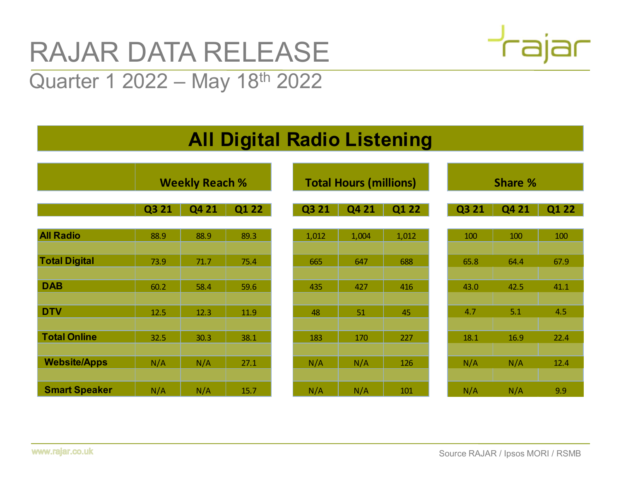# RAJAR DATA RELEASE RAJAR DATA RELEASE<br>Quarter 1 2022 – May 18<sup>th</sup> 2022

## All Digital Radio Listening

|                      | <b>RAJAR DATA RELEASE</b><br>Quarter 1 2022 – May 18 <sup>th</sup> 2022 |                       |       |                                    |                               |       |          | <b>Trajar</b> |       |
|----------------------|-------------------------------------------------------------------------|-----------------------|-------|------------------------------------|-------------------------------|-------|----------|---------------|-------|
|                      |                                                                         |                       |       |                                    |                               |       |          |               |       |
|                      |                                                                         |                       |       | <b>All Digital Radio Listening</b> |                               |       |          |               |       |
|                      |                                                                         | <b>Weekly Reach %</b> |       |                                    | <b>Total Hours (millions)</b> |       |          | Share %       |       |
|                      | Q3 21                                                                   | Q4 21                 | Q1 22 | Q3 21                              | Q4 21                         | Q1 22 | Q3 21    | Q4 21         | Q1 22 |
| <b>All Radio</b>     | 88.9                                                                    | 88.9                  | 89.3  | 1,012                              | 1,004                         | 1,012 | 100      | 100           | 100   |
| <b>Total Digital</b> | 73.9                                                                    | 71.7                  | 75.4  | 665                                | 647                           | 688   | 65.8     | 64.4          | 67.9  |
| <b>DAB</b>           | 60.2                                                                    | 58.4                  | 59.6  | 435                                | 427                           | 416   | 43.0     | 42.5          | 41.1  |
| <b>DTV</b>           | 12.5                                                                    | 12.3                  | 11.9  | 48                                 | 51                            | 45    | 4.7      | 5.1           | 4.5   |
| <b>Total Online</b>  | 32.5                                                                    | 30.3                  | 38.1  | 183                                | 170                           | 227   | $18.1\,$ | 16.9          | 22.4  |
| <b>Website/Apps</b>  | N/A                                                                     | N/A                   | 27.1  | N/A                                | N/A                           | 126   | N/A      | N/A           | 12.4  |
| <b>Smart Speaker</b> | N/A                                                                     | N/A                   | 15.7  | N/A                                | N/A                           | 101   | N/A      | N/A           | 9.9   |

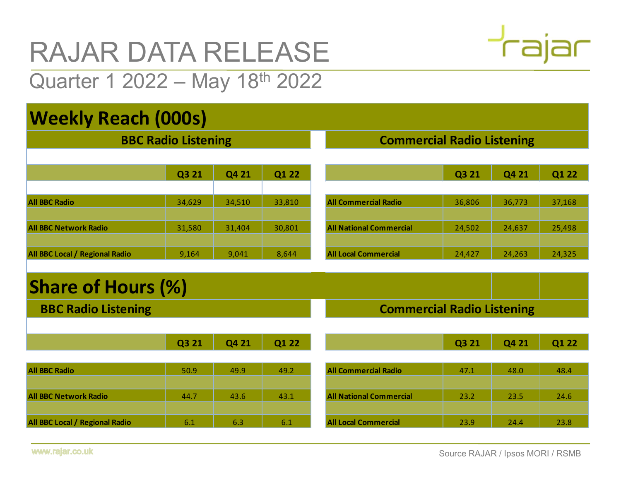# RAJAR DATA RELEASE RAJAR DATA RELEASE<br>Quarter 1 2022 – May 18<sup>th</sup> 2022<br>Weekly Reach (000s)

## Weekly Reach (000s)

| <b>RAJAR DATA RELEASE</b>      |        | $\overline{\phantom{a}}$          |        |                                |                                   |        |        |  |  |  |
|--------------------------------|--------|-----------------------------------|--------|--------------------------------|-----------------------------------|--------|--------|--|--|--|
| Quarter 1 2022 - May 18th 2022 |        |                                   |        |                                |                                   |        |        |  |  |  |
| <b>Weekly Reach (000s)</b>     |        |                                   |        |                                |                                   |        |        |  |  |  |
| <b>BBC Radio Listening</b>     |        |                                   |        |                                | <b>Commercial Radio Listening</b> |        |        |  |  |  |
|                                | Q3 21  | Q4 21                             | Q1 22  |                                | Q3 21                             | Q4 21  | Q1 22  |  |  |  |
| <b>All BBC Radio</b>           | 34,629 | 34,510                            | 33,810 | <b>All Commercial Radio</b>    | 36,806                            | 36,773 | 37,168 |  |  |  |
| <b>All BBC Network Radio</b>   | 31,580 | 31,404                            | 30,801 | <b>All National Commercial</b> | 24,502                            | 24,637 | 25,498 |  |  |  |
| All BBC Local / Regional Radio | 9,164  | 9,041                             | 8,644  | <b>All Local Commercial</b>    | 24,427                            | 24,263 | 24,325 |  |  |  |
| <b>Share of Hours (%)</b>      |        |                                   |        |                                |                                   |        |        |  |  |  |
| <b>BBC Radio Listening</b>     |        | <b>Commercial Radio Listening</b> |        |                                |                                   |        |        |  |  |  |
|                                | Q3 21  | Q4 21                             | Q1 22  |                                | Q3 21                             | Q4 21  | Q1 22  |  |  |  |
| <b>All BBC Radio</b>           | 50.9   | 49.9                              | 49.2   | <b>All Commercial Radio</b>    | 47.1                              | 48.0   | 48.4   |  |  |  |
| <b>All BBC Network Radio</b>   | 44.7   | 43.6                              | 43.1   | <b>All National Commercial</b> | 23.2                              | 23.5   | 24.6   |  |  |  |

### Share of Hours (%)

|                                | <b>Q3 Z1</b> | Q4 Z1  | QI ZZ  |                                   | <b>Q3 Z1</b> | <b>Q4 Z1</b> | QI ZZ  |
|--------------------------------|--------------|--------|--------|-----------------------------------|--------------|--------------|--------|
|                                |              |        |        |                                   |              |              |        |
| <b>All BBC Radio</b>           | 34,629       | 34,510 | 33,810 | <b>All Commercial Radio</b>       | 36,806       | 36,773       | 37,168 |
|                                |              |        |        |                                   |              |              |        |
| <b>All BBC Network Radio</b>   | 31,580       | 31,404 | 30,801 | <b>All National Commercial</b>    | 24,502       | 24,637       | 25,498 |
| All BBC Local / Regional Radio |              | 9,041  | 8,644  | <b>All Local Commercial</b>       |              |              | 24,325 |
|                                | 9,164        |        |        |                                   | 24,427       | 24,263       |        |
|                                |              |        |        |                                   |              |              |        |
| <b>Share of Hours (%)</b>      |              |        |        |                                   |              |              |        |
| <b>BBC Radio Listening</b>     |              |        |        | <b>Commercial Radio Listening</b> |              |              |        |
|                                |              |        |        |                                   |              |              |        |
|                                | Q3 21        | Q4 21  | Q1 22  |                                   | Q3 21        | Q4 21        | Q1 22  |
|                                |              |        |        |                                   |              |              |        |
| <b>All BBC Radio</b>           | 50.9         | 49.9   | 49.2   | <b>All Commercial Radio</b>       | 47.1         | 48.0         | 48.4   |
|                                |              |        |        |                                   |              |              |        |
|                                | 44.7         | 43.6   | 43.1   | <b>All National Commercial</b>    | 23.2         | 23.5         | 24.6   |
| <b>All BBC Network Radio</b>   |              |        |        |                                   |              |              |        |
| All BBC Local / Regional Radio | 6.1          | 6.3    | 6.1    | <b>All Local Commercial</b>       | 23.9         | 24.4         | 23.8   |